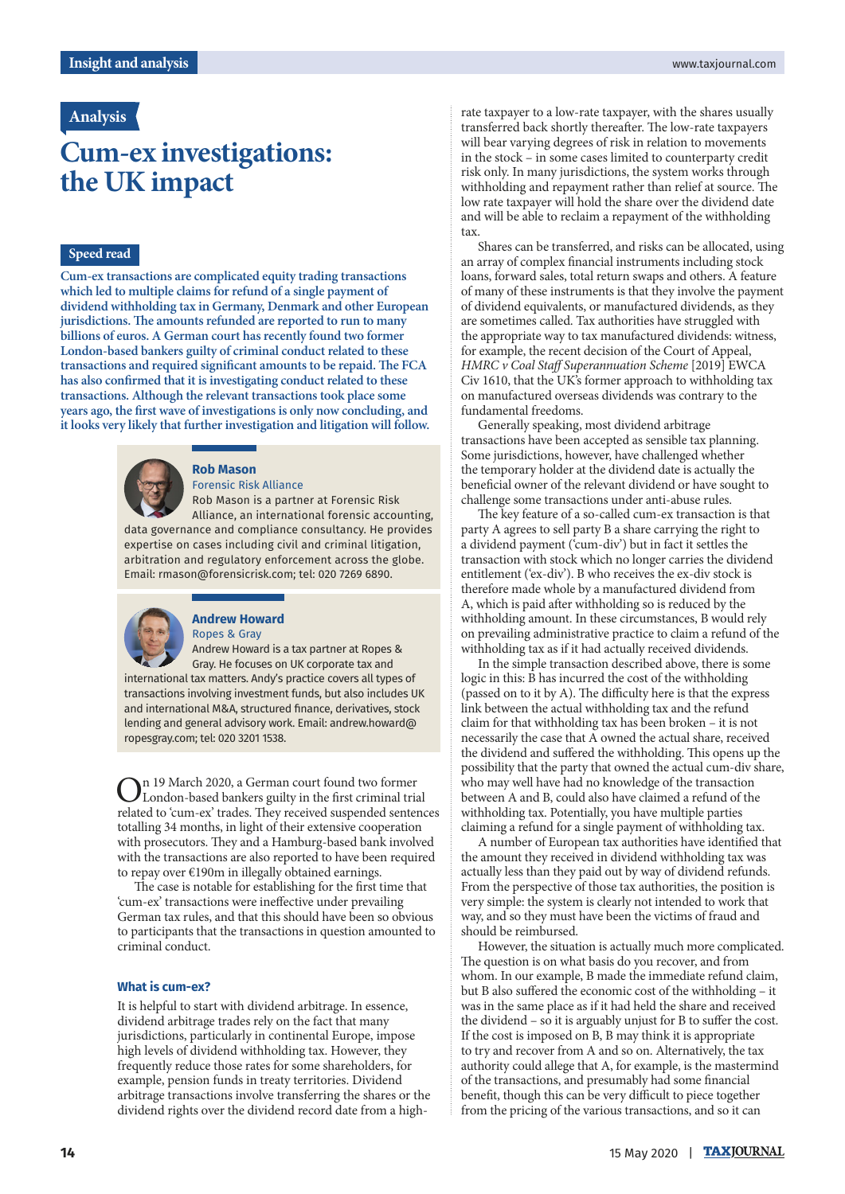# **Analysis**

# **Cum-ex investigations: the UK impact**

## **Speed read**

**Cum-ex transactions are complicated equity trading transactions which led to multiple claims for refund of a single payment of dividend withholding tax in Germany, Denmark and other European jurisdictions. The amounts refunded are reported to run to many billions of euros. A German court has recently found two former London-based bankers guilty of criminal conduct related to these transactions and required significant amounts to be repaid. The FCA has also confirmed that it is investigating conduct related to these transactions. Although the relevant transactions took place some years ago, the first wave of investigations is only now concluding, and it looks very likely that further investigation and litigation will follow.**



### **Rob Mason**

Forensic Risk Alliance Rob Mason is a partner at Forensic Risk Alliance, an international forensic accounting, data governance and compliance consultancy. He provides expertise on cases including civil and criminal litigation, arbitration and regulatory enforcement across the globe. Email: [rmason@forensicrisk.com;](mailto:rmason@forensicrisk.com) tel: 020 7269 6890.



#### **Andrew Howard**  Ropes & Gray

Andrew Howard is a tax partner at Ropes & Gray. He focuses on UK corporate tax and international tax matters. Andy's practice covers all types of transactions involving investment funds, but also includes UK and international M&A, structured finance, derivatives, stock lending and general advisory work. Email: [andrew.howard@](mailto:andrew.howard@ropesgray.com) [ropesgray.com](mailto:andrew.howard@ropesgray.com); tel: 020 3201 1538.

On 19 March 2020, a German court found two former London-based bankers guilty in the first criminal trial related to 'cum-ex' trades. They received suspended sentences totalling 34 months, in light of their extensive cooperation with prosecutors. They and a Hamburg-based bank involved with the transactions are also reported to have been required to repay over €190m in illegally obtained earnings.

The case is notable for establishing for the first time that 'cum-ex' transactions were ineffective under prevailing German tax rules, and that this should have been so obvious to participants that the transactions in question amounted to criminal conduct.

#### **What is cum-ex?**

It is helpful to start with dividend arbitrage. In essence, dividend arbitrage trades rely on the fact that many jurisdictions, particularly in continental Europe, impose high levels of dividend withholding tax. However, they frequently reduce those rates for some shareholders, for example, pension funds in treaty territories. Dividend arbitrage transactions involve transferring the shares or the dividend rights over the dividend record date from a highrate taxpayer to a low-rate taxpayer, with the shares usually transferred back shortly thereafter. The low-rate taxpayers will bear varying degrees of risk in relation to movements in the stock – in some cases limited to counterparty credit risk only. In many jurisdictions, the system works through withholding and repayment rather than relief at source. The low rate taxpayer will hold the share over the dividend date and will be able to reclaim a repayment of the withholding tax.

Shares can be transferred, and risks can be allocated, using an array of complex financial instruments including stock loans, forward sales, total return swaps and others. A feature of many of these instruments is that they involve the payment of dividend equivalents, or manufactured dividends, as they are sometimes called. Tax authorities have struggled with the appropriate way to tax manufactured dividends: witness, for example, the recent decision of the Court of Appeal, *HMRC v Coal Staff Superannuation Scheme* [2019] EWCA Civ 1610, that the UK's former approach to withholding tax on manufactured overseas dividends was contrary to the fundamental freedoms.

Generally speaking, most dividend arbitrage transactions have been accepted as sensible tax planning. Some jurisdictions, however, have challenged whether the temporary holder at the dividend date is actually the beneficial owner of the relevant dividend or have sought to challenge some transactions under anti-abuse rules.

The key feature of a so-called cum-ex transaction is that party A agrees to sell party B a share carrying the right to a dividend payment ('cum-div') but in fact it settles the transaction with stock which no longer carries the dividend entitlement ('ex-div'). B who receives the ex-div stock is therefore made whole by a manufactured dividend from A, which is paid after withholding so is reduced by the withholding amount. In these circumstances, B would rely on prevailing administrative practice to claim a refund of the withholding tax as if it had actually received dividends.

In the simple transaction described above, there is some logic in this: B has incurred the cost of the withholding (passed on to it by A). The difficulty here is that the express link between the actual withholding tax and the refund claim for that withholding tax has been broken – it is not necessarily the case that A owned the actual share, received the dividend and suffered the withholding. This opens up the possibility that the party that owned the actual cum-div share, who may well have had no knowledge of the transaction between A and B, could also have claimed a refund of the withholding tax. Potentially, you have multiple parties claiming a refund for a single payment of withholding tax.

A number of European tax authorities have identified that the amount they received in dividend withholding tax was actually less than they paid out by way of dividend refunds. From the perspective of those tax authorities, the position is very simple: the system is clearly not intended to work that way, and so they must have been the victims of fraud and should be reimbursed.

However, the situation is actually much more complicated. The question is on what basis do you recover, and from whom. In our example, B made the immediate refund claim, but B also suffered the economic cost of the withholding – it was in the same place as if it had held the share and received the dividend – so it is arguably unjust for B to suffer the cost. If the cost is imposed on B, B may think it is appropriate to try and recover from A and so on. Alternatively, the tax authority could allege that A, for example, is the mastermind of the transactions, and presumably had some financial benefit, though this can be very difficult to piece together from the pricing of the various transactions, and so it can